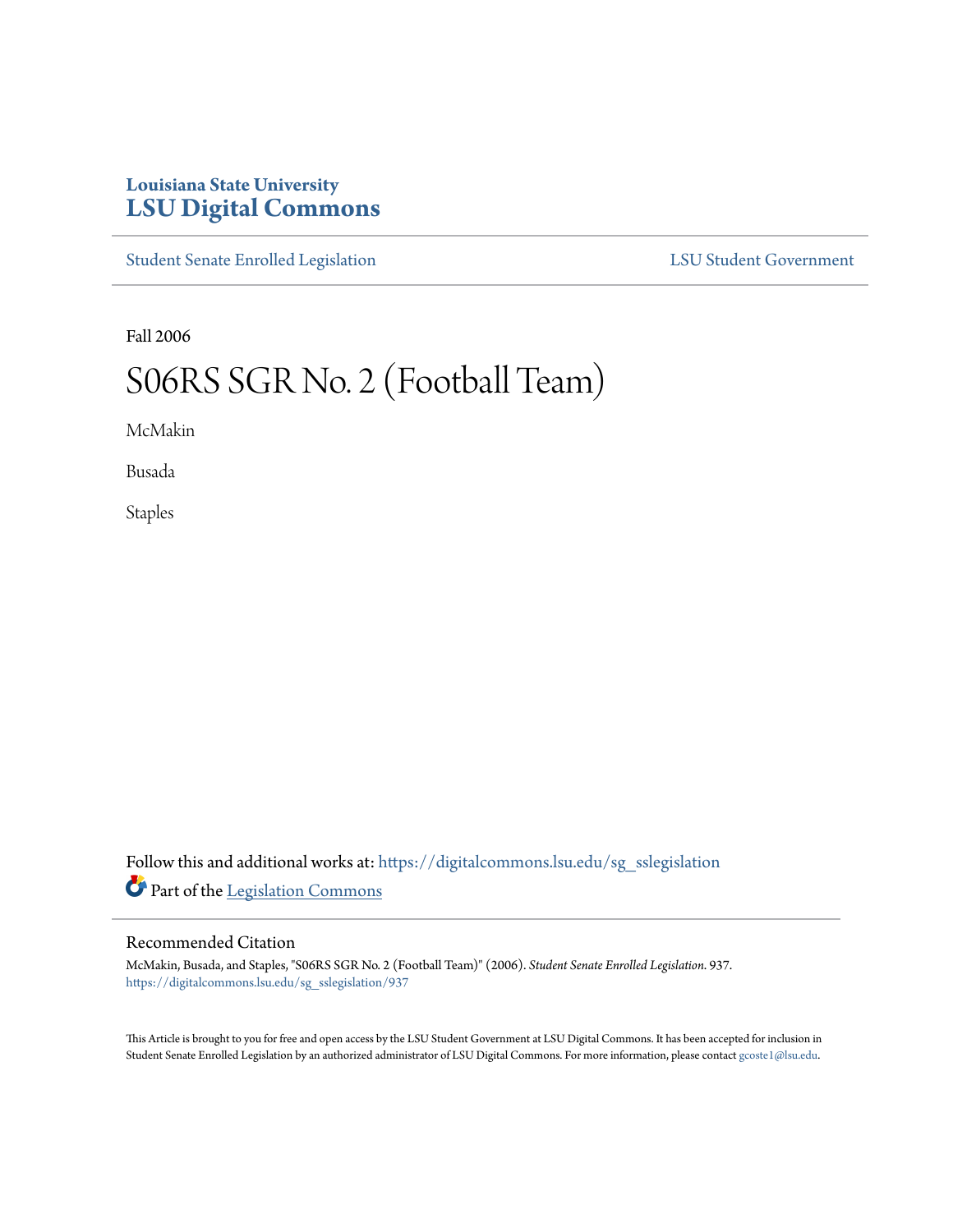## **Louisiana State University [LSU Digital Commons](https://digitalcommons.lsu.edu?utm_source=digitalcommons.lsu.edu%2Fsg_sslegislation%2F937&utm_medium=PDF&utm_campaign=PDFCoverPages)**

[Student Senate Enrolled Legislation](https://digitalcommons.lsu.edu/sg_sslegislation?utm_source=digitalcommons.lsu.edu%2Fsg_sslegislation%2F937&utm_medium=PDF&utm_campaign=PDFCoverPages) [LSU Student Government](https://digitalcommons.lsu.edu/sg?utm_source=digitalcommons.lsu.edu%2Fsg_sslegislation%2F937&utm_medium=PDF&utm_campaign=PDFCoverPages)

Fall 2006

## S06RS SGR No. 2 (Football Team)

McMakin

Busada

Staples

Follow this and additional works at: [https://digitalcommons.lsu.edu/sg\\_sslegislation](https://digitalcommons.lsu.edu/sg_sslegislation?utm_source=digitalcommons.lsu.edu%2Fsg_sslegislation%2F937&utm_medium=PDF&utm_campaign=PDFCoverPages) Part of the [Legislation Commons](http://network.bepress.com/hgg/discipline/859?utm_source=digitalcommons.lsu.edu%2Fsg_sslegislation%2F937&utm_medium=PDF&utm_campaign=PDFCoverPages)

## Recommended Citation

McMakin, Busada, and Staples, "S06RS SGR No. 2 (Football Team)" (2006). *Student Senate Enrolled Legislation*. 937. [https://digitalcommons.lsu.edu/sg\\_sslegislation/937](https://digitalcommons.lsu.edu/sg_sslegislation/937?utm_source=digitalcommons.lsu.edu%2Fsg_sslegislation%2F937&utm_medium=PDF&utm_campaign=PDFCoverPages)

This Article is brought to you for free and open access by the LSU Student Government at LSU Digital Commons. It has been accepted for inclusion in Student Senate Enrolled Legislation by an authorized administrator of LSU Digital Commons. For more information, please contact [gcoste1@lsu.edu.](mailto:gcoste1@lsu.edu)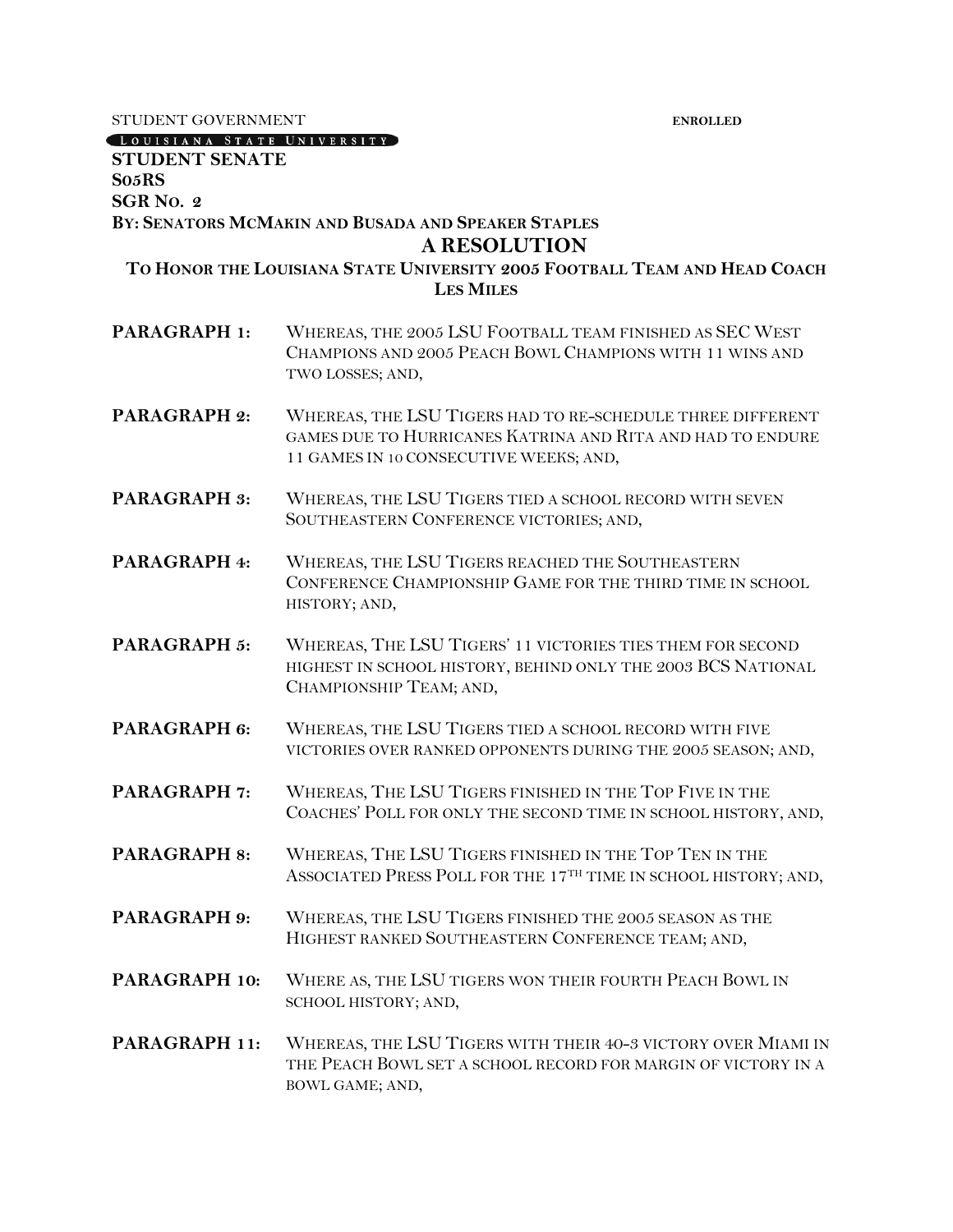STUDENT GOVERNMENT **ENROLLED** 

LOUISIANA STATE UNIVERSITY

## **STUDENT SENATE S05RS SGR NO. 2 BY: SENATORS MCMAKIN AND BUSADA AND SPEAKER STAPLES A RESOLUTION TO HONOR THE LOUISIANA STATE UNIVERSITY 2005 FOOTBALL TEAM AND HEAD COACH LES MILES PARAGRAPH 1:** WHEREAS, THE 2005 LSU FOOTBALL TEAM FINISHED AS SEC WEST CHAMPIONS AND 2005 PEACH BOWL CHAMPIONS WITH 11 WINS AND TWO LOSSES; AND, **PARAGRAPH 2:** WHEREAS, THE LSU TIGERS HAD TO RE-SCHEDULE THREE DIFFERENT GAMES DUE TO HURRICANES KATRINA AND RITA AND HAD TO ENDURE 11 GAMES IN 10 CONSECUTIVE WEEKS; AND, **PARAGRAPH 3:** WHEREAS, THE LSU TIGERS TIED A SCHOOL RECORD WITH SEVEN SOUTHEASTERN CONFERENCE VICTORIES; AND, **PARAGRAPH 4:** WHEREAS, THE LSU TIGERS REACHED THE SOUTHEASTERN CONFERENCE CHAMPIONSHIP GAME FOR THE THIRD TIME IN SCHOOL HISTORY; AND, **PARAGRAPH 5:** WHEREAS, THE LSU TIGERS' 11 VICTORIES TIES THEM FOR SECOND HIGHEST IN SCHOOL HISTORY, BEHIND ONLY THE 2003 BCS NATIONAL CHAMPIONSHIP TEAM; AND, **PARAGRAPH 6:** WHEREAS, THE LSU TIGERS TIED A SCHOOL RECORD WITH FIVE VICTORIES OVER RANKED OPPONENTS DURING THE 2005 SEASON; AND, **PARAGRAPH 7:** WHEREAS, THE LSU TIGERS FINISHED IN THE TOP FIVE IN THE COACHES' POLL FOR ONLY THE SECOND TIME IN SCHOOL HISTORY, AND, **PARAGRAPH 8:** WHEREAS, THE LSU TIGERS FINISHED IN THE TOP TEN IN THE ASSOCIATED PRESS POLL FOR THE 17TH TIME IN SCHOOL HISTORY; AND, **PARAGRAPH 9:** WHEREAS, THE LSU TIGERS FINISHED THE 2005 SEASON AS THE HIGHEST RANKED SOUTHEASTERN CONFERENCE TEAM; AND, **PARAGRAPH 10:** WHERE AS, THE LSU TIGERS WON THEIR FOURTH PEACH BOWL IN SCHOOL HISTORY; AND, **PARAGRAPH 11:** WHEREAS, THE LSU TIGERS WITH THEIR 40-3 VICTORY OVER MIAMI IN THE PEACH BOWL SET A SCHOOL RECORD FOR MARGIN OF VICTORY IN A BOWL GAME; AND,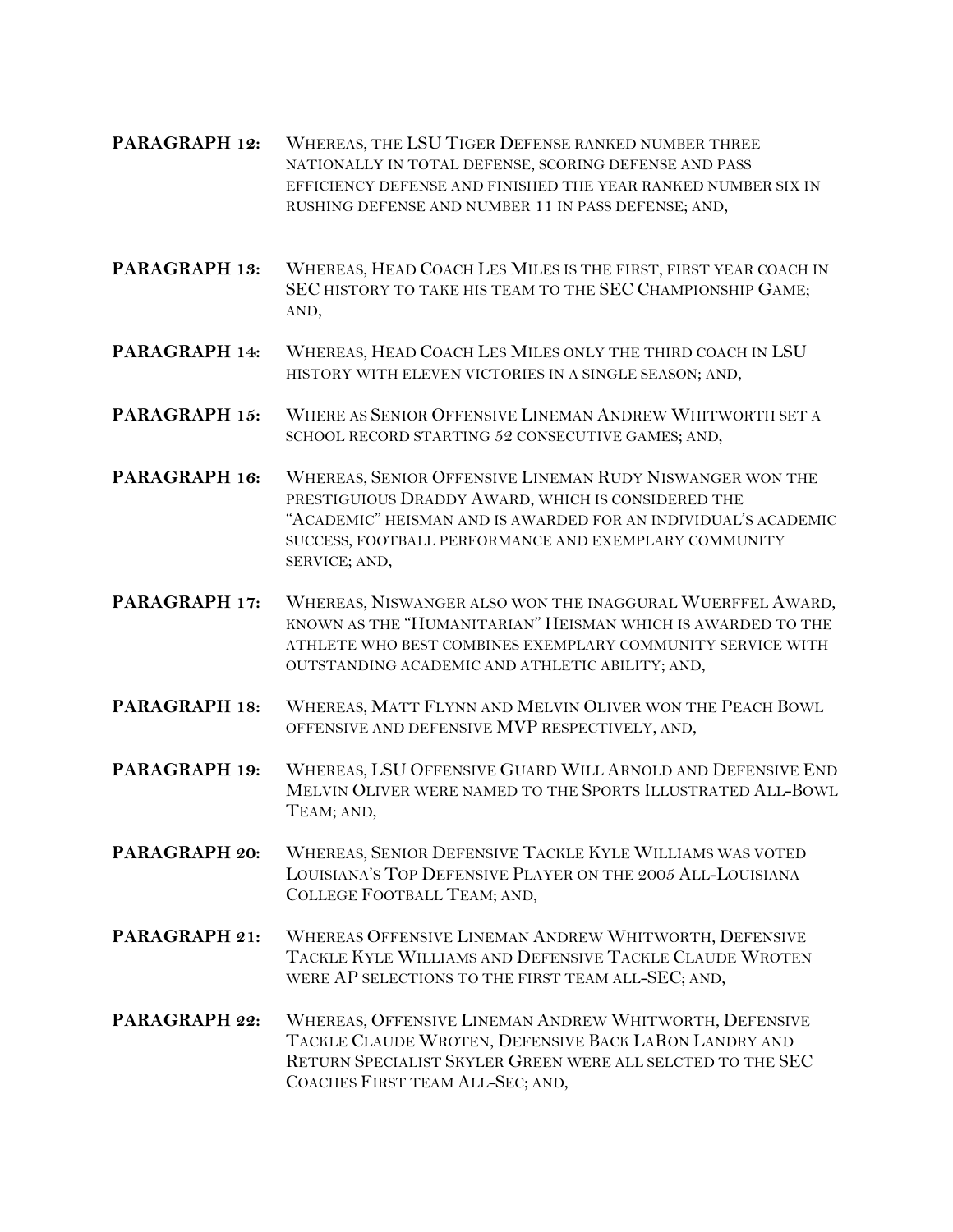- **PARAGRAPH 12:** WHEREAS, THE LSU TIGER DEFENSE RANKED NUMBER THREE NATIONALLY IN TOTAL DEFENSE, SCORING DEFENSE AND PASS EFFICIENCY DEFENSE AND FINISHED THE YEAR RANKED NUMBER SIX IN RUSHING DEFENSE AND NUMBER 11 IN PASS DEFENSE; AND,
- **PARAGRAPH 13:** WHEREAS, HEAD COACH LES MILES IS THE FIRST, FIRST YEAR COACH IN SEC HISTORY TO TAKE HIS TEAM TO THE SEC CHAMPIONSHIP GAME; AND,
- **PARAGRAPH 14:** WHEREAS, HEAD COACH LES MILES ONLY THE THIRD COACH IN LSU HISTORY WITH ELEVEN VICTORIES IN A SINGLE SEASON; AND,
- **PARAGRAPH 15:** WHERE AS SENIOR OFFENSIVE LINEMAN ANDREW WHITWORTH SET A SCHOOL RECORD STARTING 52 CONSECUTIVE GAMES; AND,
- **PARAGRAPH 16:** WHEREAS, SENIOR OFFENSIVE LINEMAN RUDY NISWANGER WON THE PRESTIGUIOUS DRADDY AWARD, WHICH IS CONSIDERED THE "ACADEMIC" HEISMAN AND IS AWARDED FOR AN INDIVIDUAL'S ACADEMIC SUCCESS, FOOTBALL PERFORMANCE AND EXEMPLARY COMMUNITY SERVICE; AND,
- **PARAGRAPH 17:** WHEREAS, NISWANGER ALSO WON THE INAGGURAL WUERFFEL AWARD, KNOWN AS THE "HUMANITARIAN" HEISMAN WHICH IS AWARDED TO THE ATHLETE WHO BEST COMBINES EXEMPLARY COMMUNITY SERVICE WITH OUTSTANDING ACADEMIC AND ATHLETIC ABILITY; AND,
- **PARAGRAPH 18:** WHEREAS, MATT FLYNN AND MELVIN OLIVER WON THE PEACH BOWL OFFENSIVE AND DEFENSIVE MVP RESPECTIVELY, AND,
- **PARAGRAPH 19:** WHEREAS, LSU OFFENSIVE GUARD WILL ARNOLD AND DEFENSIVE END MELVIN OLIVER WERE NAMED TO THE SPORTS ILLUSTRATED ALL-BOWL TEAM; AND,
- **PARAGRAPH 20:** WHEREAS, SENIOR DEFENSIVE TACKLE KYLE WILLIAMS WAS VOTED LOUISIANA'S TOP DEFENSIVE PLAYER ON THE 2005 ALL-LOUISIANA COLLEGE FOOTBALL TEAM; AND,
- **PARAGRAPH 21:** WHEREAS OFFENSIVE LINEMAN ANDREW WHITWORTH, DEFENSIVE TACKLE KYLE WILLIAMS AND DEFENSIVE TACKLE CLAUDE WROTEN WERE AP SELECTIONS TO THE FIRST TEAM ALL-SEC; AND,
- **PARAGRAPH 22:** WHEREAS, OFFENSIVE LINEMAN ANDREW WHITWORTH, DEFENSIVE TACKLE CLAUDE WROTEN, DEFENSIVE BACK LARON LANDRY AND RETURN SPECIALIST SKYLER GREEN WERE ALL SELCTED TO THE SEC COACHES FIRST TEAM ALL-SEC; AND,